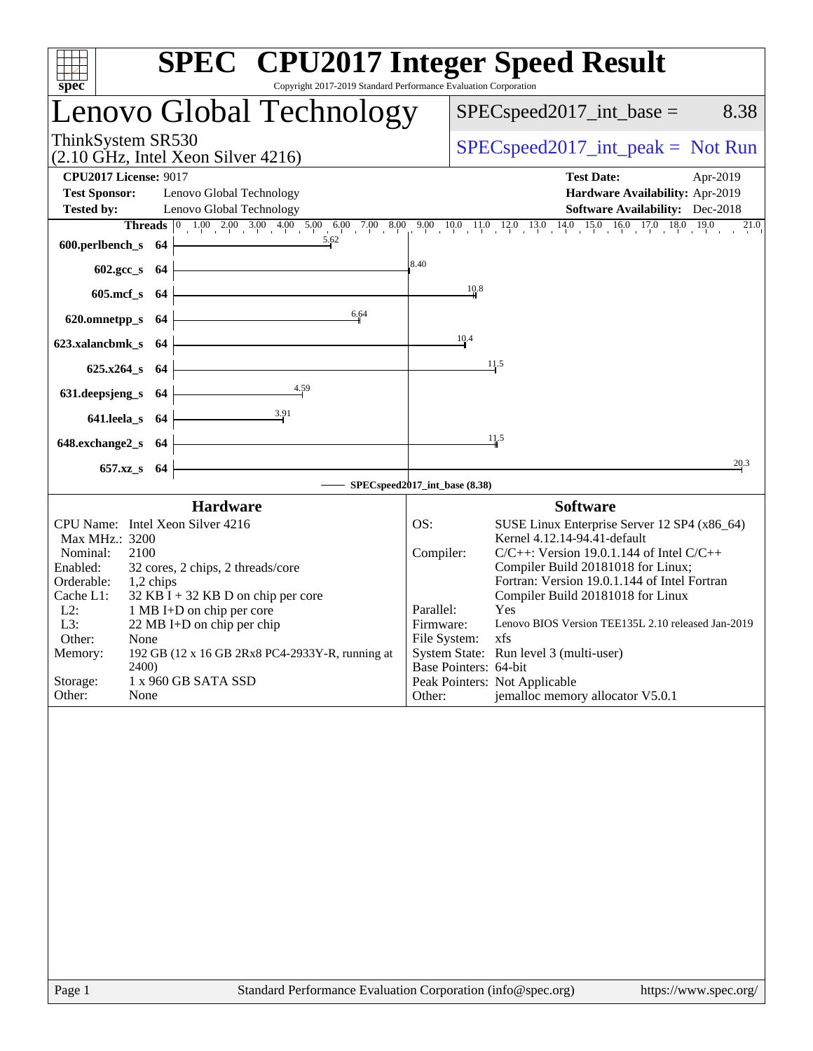| spec<br>Copyright 2017-2019 Standard Performance Evaluation Corporation                                                                                                                                                                                                                                                                                                                                                           | <b>SPEC<sup>®</sup></b> CPU2017 Integer Speed Result                                                                                                                                                                                                                                                                                                                                                                                                                                                                                      |
|-----------------------------------------------------------------------------------------------------------------------------------------------------------------------------------------------------------------------------------------------------------------------------------------------------------------------------------------------------------------------------------------------------------------------------------|-------------------------------------------------------------------------------------------------------------------------------------------------------------------------------------------------------------------------------------------------------------------------------------------------------------------------------------------------------------------------------------------------------------------------------------------------------------------------------------------------------------------------------------------|
| Lenovo Global Technology                                                                                                                                                                                                                                                                                                                                                                                                          | $SPEC speed2017\_int\_base =$<br>8.38                                                                                                                                                                                                                                                                                                                                                                                                                                                                                                     |
| ThinkSystem SR530<br>(2.10 GHz, Intel Xeon Silver 4216)                                                                                                                                                                                                                                                                                                                                                                           | $SPEC speed2017\_int\_peak = Not Run$                                                                                                                                                                                                                                                                                                                                                                                                                                                                                                     |
| <b>CPU2017 License: 9017</b><br><b>Test Sponsor:</b><br>Lenovo Global Technology                                                                                                                                                                                                                                                                                                                                                  | <b>Test Date:</b><br>Apr-2019<br>Hardware Availability: Apr-2019                                                                                                                                                                                                                                                                                                                                                                                                                                                                          |
| <b>Tested by:</b><br>Lenovo Global Technology                                                                                                                                                                                                                                                                                                                                                                                     | <b>Software Availability:</b> Dec-2018<br>Threads 0 1.00 2.00 3.00 4.00 5.00 6.00 7.00 8.00 9.00 10.0 11.0 12.0 13.0 14.0 15.0 16.0 17.0 18.0 19.0 21.0<br>$^{21.0}$                                                                                                                                                                                                                                                                                                                                                                      |
| 5.62<br>600.perlbench_s $64$                                                                                                                                                                                                                                                                                                                                                                                                      |                                                                                                                                                                                                                                                                                                                                                                                                                                                                                                                                           |
| $602.\text{gcc}\,$ 64                                                                                                                                                                                                                                                                                                                                                                                                             | 8.40                                                                                                                                                                                                                                                                                                                                                                                                                                                                                                                                      |
| $605 \text{.mcf}\,$ s 64<br>6.64                                                                                                                                                                                                                                                                                                                                                                                                  | 10.8                                                                                                                                                                                                                                                                                                                                                                                                                                                                                                                                      |
| 620.omnetpp_s $64$                                                                                                                                                                                                                                                                                                                                                                                                                | 10.4                                                                                                                                                                                                                                                                                                                                                                                                                                                                                                                                      |
| 623.xalancbmk_s 64<br>$625.x264_s$ 64                                                                                                                                                                                                                                                                                                                                                                                             | 11.5                                                                                                                                                                                                                                                                                                                                                                                                                                                                                                                                      |
| 4.59<br>631.deepsjeng_s $64$                                                                                                                                                                                                                                                                                                                                                                                                      |                                                                                                                                                                                                                                                                                                                                                                                                                                                                                                                                           |
| $641.$ leela_s $64$                                                                                                                                                                                                                                                                                                                                                                                                               |                                                                                                                                                                                                                                                                                                                                                                                                                                                                                                                                           |
| <u> 1989 - Johann Barn, mars ann an t-Amhain Aonaich an t-Aonaich an t-Aonaich an t-Aonaich an t-Aonaich ann an t-</u><br>648.exchange $2$ <sub>S</sub> 64                                                                                                                                                                                                                                                                        | 11.5                                                                                                                                                                                                                                                                                                                                                                                                                                                                                                                                      |
| 657.xz_s 64                                                                                                                                                                                                                                                                                                                                                                                                                       | 20.3<br>SPECspeed2017_int_base (8.38)                                                                                                                                                                                                                                                                                                                                                                                                                                                                                                     |
| <b>Hardware</b>                                                                                                                                                                                                                                                                                                                                                                                                                   | <b>Software</b>                                                                                                                                                                                                                                                                                                                                                                                                                                                                                                                           |
| CPU Name: Intel Xeon Silver 4216<br>Max MHz.: 3200<br>Nominal:<br>2100<br>Enabled:<br>32 cores, 2 chips, 2 threads/core<br>Orderable:<br>1,2 chips<br>$32$ KB I + 32 KB D on chip per core<br>Cache L1:<br>$L2$ :<br>1 MB I+D on chip per core<br>L3:<br>22 MB I+D on chip per chip<br>Other:<br>None<br>192 GB (12 x 16 GB 2Rx8 PC4-2933Y-R, running at<br>Memory:<br>2400)<br>Storage:<br>1 x 960 GB SATA SSD<br>Other:<br>None | SUSE Linux Enterprise Server 12 SP4 (x86_64)<br>OS:<br>Kernel 4.12.14-94.41-default<br>Compiler:<br>$C/C++$ : Version 19.0.1.144 of Intel $C/C++$<br>Compiler Build 20181018 for Linux;<br>Fortran: Version 19.0.1.144 of Intel Fortran<br>Compiler Build 20181018 for Linux<br>Parallel:<br>Yes<br>Lenovo BIOS Version TEE135L 2.10 released Jan-2019<br>Firmware:<br>File System: xfs<br>System State: Run level 3 (multi-user)<br>Base Pointers: 64-bit<br>Peak Pointers: Not Applicable<br>jemalloc memory allocator V5.0.1<br>Other: |
|                                                                                                                                                                                                                                                                                                                                                                                                                                   |                                                                                                                                                                                                                                                                                                                                                                                                                                                                                                                                           |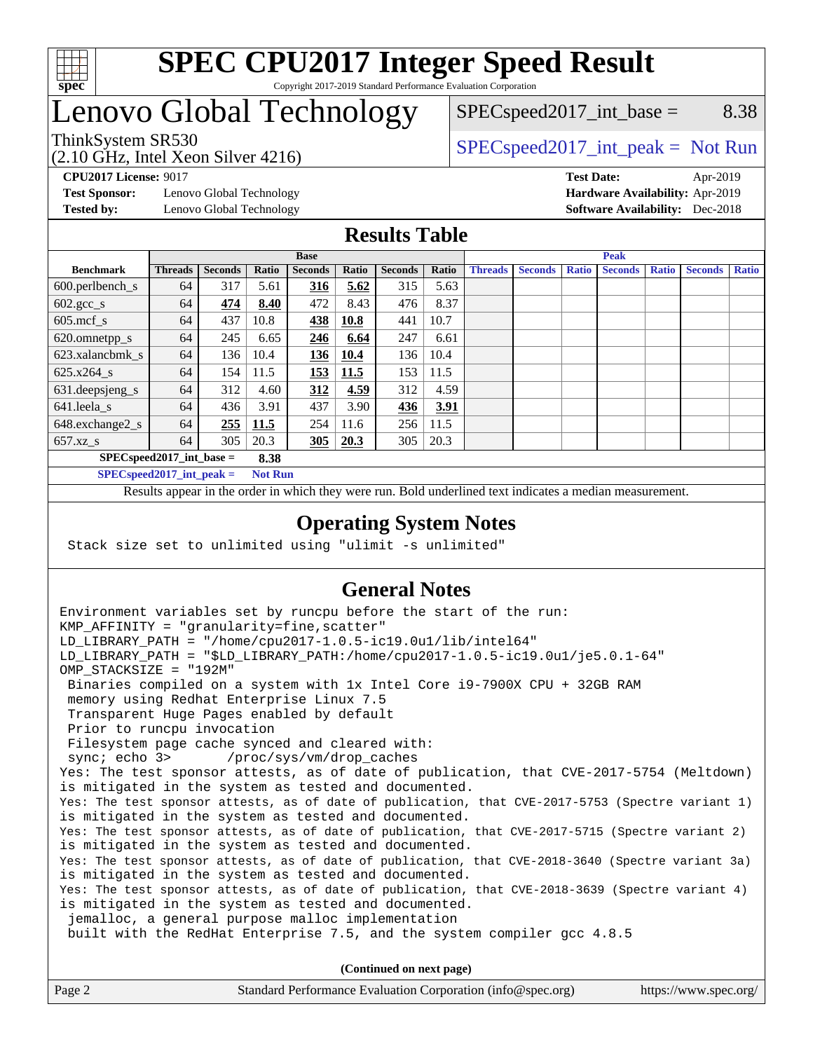

# Lenovo Global Technology

 $SPEC speed2017\_int\_base =$  8.38

(2.10 GHz, Intel Xeon Silver 4216)

ThinkSystem SR530<br>  $SPEC speed2017\_int\_peak = Not Run$ 

**[Test Sponsor:](http://www.spec.org/auto/cpu2017/Docs/result-fields.html#TestSponsor)** Lenovo Global Technology **[Hardware Availability:](http://www.spec.org/auto/cpu2017/Docs/result-fields.html#HardwareAvailability)** Apr-2019

**[CPU2017 License:](http://www.spec.org/auto/cpu2017/Docs/result-fields.html#CPU2017License)** 9017 **[Test Date:](http://www.spec.org/auto/cpu2017/Docs/result-fields.html#TestDate)** Apr-2019 **[Tested by:](http://www.spec.org/auto/cpu2017/Docs/result-fields.html#Testedby)** Lenovo Global Technology **[Software Availability:](http://www.spec.org/auto/cpu2017/Docs/result-fields.html#SoftwareAvailability)** Dec-2018

#### **[Results Table](http://www.spec.org/auto/cpu2017/Docs/result-fields.html#ResultsTable)**

|                                      | <b>Base</b>    |                |       |                | <b>Peak</b> |                |       |                |                |              |                |              |                |              |
|--------------------------------------|----------------|----------------|-------|----------------|-------------|----------------|-------|----------------|----------------|--------------|----------------|--------------|----------------|--------------|
| <b>Benchmark</b>                     | <b>Threads</b> | <b>Seconds</b> | Ratio | <b>Seconds</b> | Ratio       | <b>Seconds</b> | Ratio | <b>Threads</b> | <b>Seconds</b> | <b>Ratio</b> | <b>Seconds</b> | <b>Ratio</b> | <b>Seconds</b> | <b>Ratio</b> |
| $600.$ perlbench $\mathsf{S}$        | 64             | 317            | 5.61  | <u>316</u>     | 5.62        | 315            | 5.63  |                |                |              |                |              |                |              |
| $602 \text{.} \text{gcc}\text{_<}$ s | 64             | 474            | 8.40  | 472            | 8.43        | 476            | 8.37  |                |                |              |                |              |                |              |
| $605$ .mcf s                         | 64             | 437            | 10.8  | 438            | 10.8        | 441            | 10.7  |                |                |              |                |              |                |              |
| 620.omnetpp_s                        | 64             | 245            | 6.65  | 246            | 6.64        | 247            | 6.61  |                |                |              |                |              |                |              |
| 623.xalancbmk s                      | 64             | 136            | 10.4  | 136            | 10.4        | 136            | 10.4  |                |                |              |                |              |                |              |
| 625.x264 s                           | 64             | 154            | 11.5  | 153            | 11.5        | 153            | 11.5  |                |                |              |                |              |                |              |
| 631.deepsjeng_s                      | 64             | 312            | 4.60  | 312            | 4.59        | 312            | 4.59  |                |                |              |                |              |                |              |
| $641$ .leela_s                       | 64             | 436            | 3.91  | 437            | 3.90        | 436            | 3.91  |                |                |              |                |              |                |              |
| 648.exchange2_s                      | 64             | 255            | 11.5  | 254            | 11.6        | 256            | 11.5  |                |                |              |                |              |                |              |
| $657.xz$ <sub>S</sub>                | 64             | 305            | 20.3  | 305            | 20.3        | 305            | 20.3  |                |                |              |                |              |                |              |
| $SPECspeed2017$ int base =           |                |                | 8.38  |                |             |                |       |                |                |              |                |              |                |              |

**[SPECspeed2017\\_int\\_peak =](http://www.spec.org/auto/cpu2017/Docs/result-fields.html#SPECspeed2017intpeak) Not Run**

Results appear in the [order in which they were run.](http://www.spec.org/auto/cpu2017/Docs/result-fields.html#RunOrder) Bold underlined text [indicates a median measurement.](http://www.spec.org/auto/cpu2017/Docs/result-fields.html#Median)

#### **[Operating System Notes](http://www.spec.org/auto/cpu2017/Docs/result-fields.html#OperatingSystemNotes)**

Stack size set to unlimited using "ulimit -s unlimited"

### **[General Notes](http://www.spec.org/auto/cpu2017/Docs/result-fields.html#GeneralNotes)**

Environment variables set by runcpu before the start of the run: KMP AFFINITY = "granularity=fine, scatter" LD\_LIBRARY\_PATH = "/home/cpu2017-1.0.5-ic19.0u1/lib/intel64" LD\_LIBRARY\_PATH = "\$LD\_LIBRARY\_PATH:/home/cpu2017-1.0.5-ic19.0u1/je5.0.1-64" OMP\_STACKSIZE = "192M" Binaries compiled on a system with 1x Intel Core i9-7900X CPU + 32GB RAM memory using Redhat Enterprise Linux 7.5 Transparent Huge Pages enabled by default Prior to runcpu invocation Filesystem page cache synced and cleared with: sync; echo 3> /proc/sys/vm/drop\_caches Yes: The test sponsor attests, as of date of publication, that CVE-2017-5754 (Meltdown) is mitigated in the system as tested and documented. Yes: The test sponsor attests, as of date of publication, that CVE-2017-5753 (Spectre variant 1) is mitigated in the system as tested and documented. Yes: The test sponsor attests, as of date of publication, that CVE-2017-5715 (Spectre variant 2) is mitigated in the system as tested and documented. Yes: The test sponsor attests, as of date of publication, that CVE-2018-3640 (Spectre variant 3a) is mitigated in the system as tested and documented. Yes: The test sponsor attests, as of date of publication, that CVE-2018-3639 (Spectre variant 4) is mitigated in the system as tested and documented. jemalloc, a general purpose malloc implementation built with the RedHat Enterprise 7.5, and the system compiler gcc 4.8.5 **(Continued on next page)**

| Page 2 | Standard Performance Evaluation Corporation (info@spec.org) | https://www.spec.org/ |
|--------|-------------------------------------------------------------|-----------------------|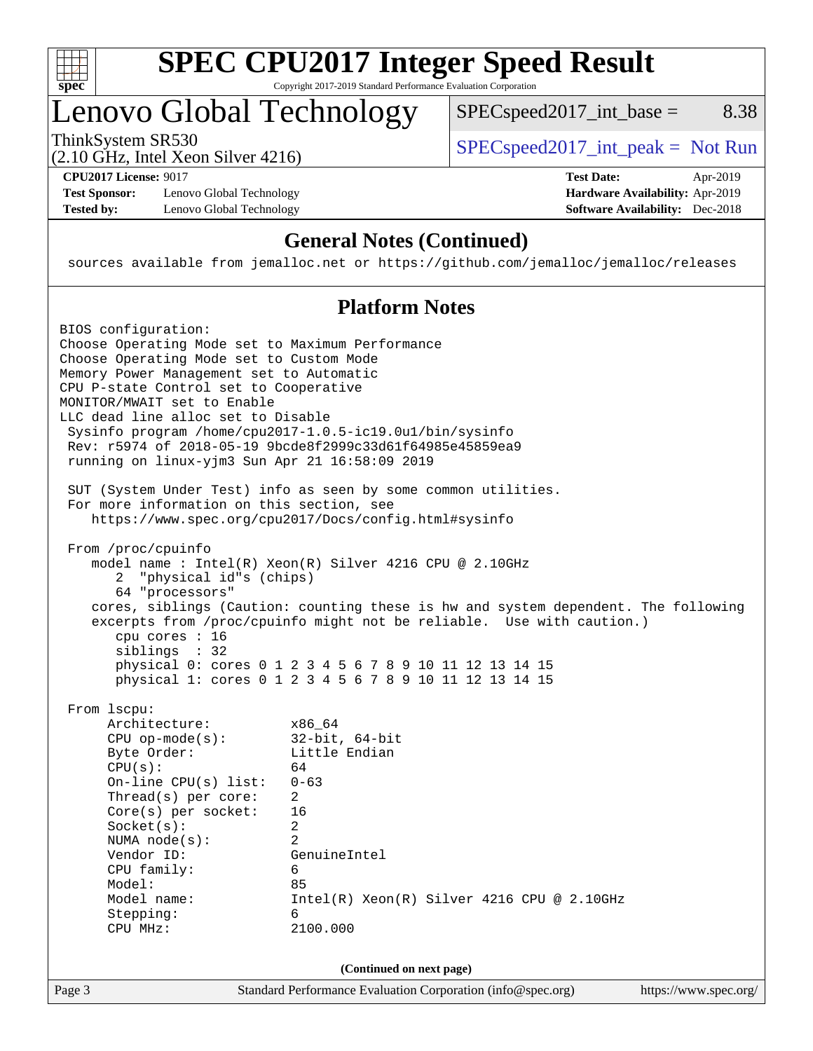

# **[SPEC CPU2017 Integer Speed Result](http://www.spec.org/auto/cpu2017/Docs/result-fields.html#SPECCPU2017IntegerSpeedResult)**

Copyright 2017-2019 Standard Performance Evaluation Corporation

# Lenovo Global Technology

ThinkSystem SR530<br>  $(2.10 \text{ GHz} \text{ Intel } \text{Yoon } \text{Silvar } 4216)$  [SPECspeed2017\\_int\\_peak =](http://www.spec.org/auto/cpu2017/Docs/result-fields.html#SPECspeed2017intpeak) Not Run

 $SPEC speed2017\_int\_base =$  8.38

(2.10 GHz, Intel Xeon Silver 4216)

**[Test Sponsor:](http://www.spec.org/auto/cpu2017/Docs/result-fields.html#TestSponsor)** Lenovo Global Technology **[Hardware Availability:](http://www.spec.org/auto/cpu2017/Docs/result-fields.html#HardwareAvailability)** Apr-2019 [Tested by:](http://www.spec.org/auto/cpu2017/Docs/result-fields.html#Testedby) Lenovo Global Technology **[Software Availability:](http://www.spec.org/auto/cpu2017/Docs/result-fields.html#SoftwareAvailability)** Dec-2018

**[CPU2017 License:](http://www.spec.org/auto/cpu2017/Docs/result-fields.html#CPU2017License)** 9017 **[Test Date:](http://www.spec.org/auto/cpu2017/Docs/result-fields.html#TestDate)** Apr-2019

### **[General Notes \(Continued\)](http://www.spec.org/auto/cpu2017/Docs/result-fields.html#GeneralNotes)**

sources available from jemalloc.net or <https://github.com/jemalloc/jemalloc/releases>

### **[Platform Notes](http://www.spec.org/auto/cpu2017/Docs/result-fields.html#PlatformNotes)**

| BIOS configuration:<br>Choose Operating Mode set to Maximum Performance<br>Choose Operating Mode set to Custom Mode<br>Memory Power Management set to Automatic<br>CPU P-state Control set to Cooperative<br>MONITOR/MWAIT set to Enable<br>LLC dead line alloc set to Disable<br>running on linux-yjm3 Sun Apr 21 16:58:09 2019<br>For more information on this section, see | Sysinfo program /home/cpu2017-1.0.5-ic19.0ul/bin/sysinfo<br>Rev: r5974 of 2018-05-19 9bcde8f2999c33d61f64985e45859ea9<br>SUT (System Under Test) info as seen by some common utilities.<br>https://www.spec.org/cpu2017/Docs/config.html#sysinfo                                                                                            |                       |
|-------------------------------------------------------------------------------------------------------------------------------------------------------------------------------------------------------------------------------------------------------------------------------------------------------------------------------------------------------------------------------|---------------------------------------------------------------------------------------------------------------------------------------------------------------------------------------------------------------------------------------------------------------------------------------------------------------------------------------------|-----------------------|
| From /proc/cpuinfo<br>"physical id"s (chips)<br>2<br>64 "processors"<br>cpu cores : 16<br>siblings : 32                                                                                                                                                                                                                                                                       | model name: Intel(R) Xeon(R) Silver 4216 CPU @ 2.10GHz<br>cores, siblings (Caution: counting these is hw and system dependent. The following<br>excerpts from /proc/cpuinfo might not be reliable. Use with caution.)<br>physical 0: cores 0 1 2 3 4 5 6 7 8 9 10 11 12 13 14 15<br>physical 1: cores 0 1 2 3 4 5 6 7 8 9 10 11 12 13 14 15 |                       |
| From 1scpu:<br>Architecture:<br>$CPU$ op-mode(s):<br>Byte Order:<br>CPU(s):<br>On-line $CPU(s)$ list:<br>Thread(s) per core:<br>$Core(s)$ per socket:<br>Socket(s):<br>NUMA $node(s):$<br>Vendor ID:<br>CPU family:<br>Model:<br>Model name:<br>Stepping:<br>CPU MHz:                                                                                                         | x86 64<br>$32$ -bit, $64$ -bit<br>Little Endian<br>64<br>$0 - 63$<br>$\overline{2}$<br>16<br>$\overline{a}$<br>$\mathfrak{D}$<br>GenuineIntel<br>6<br>85<br>$Intel(R)$ Xeon $(R)$ Silver 4216 CPU @ 2.10GHz<br>6<br>2100.000                                                                                                                |                       |
| Page 3                                                                                                                                                                                                                                                                                                                                                                        | (Continued on next page)<br>Standard Performance Evaluation Corporation (info@spec.org)                                                                                                                                                                                                                                                     | https://www.spec.org/ |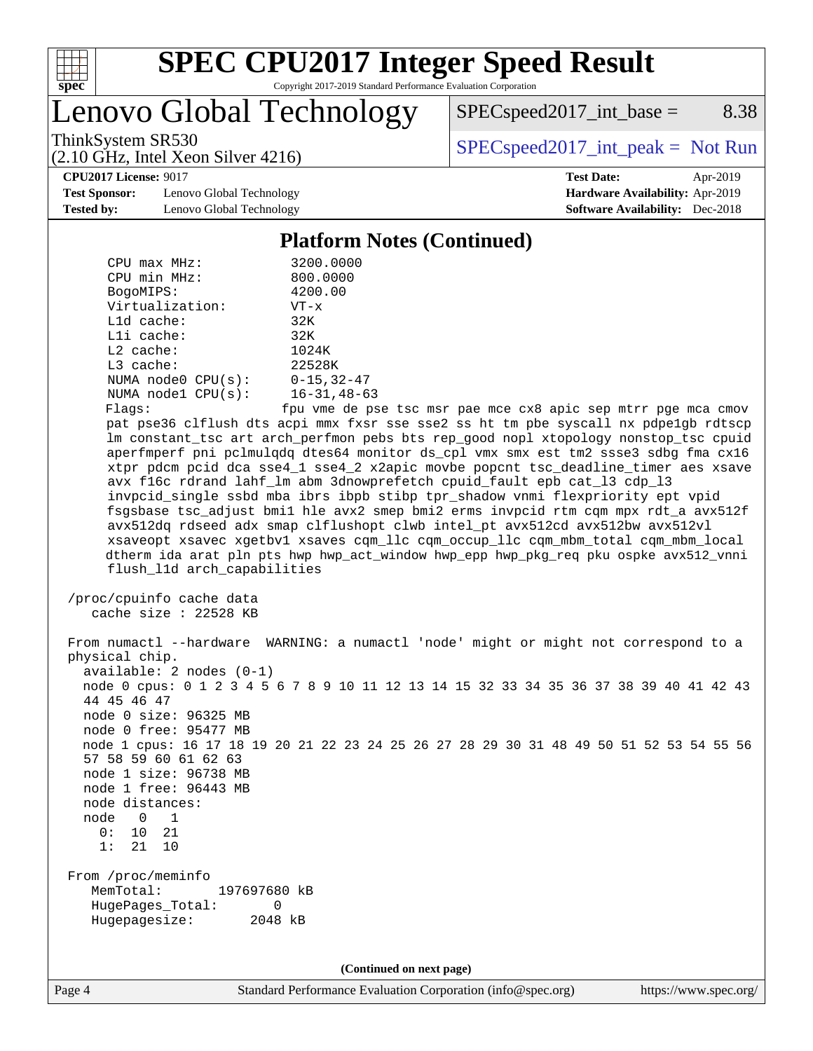

# **[SPEC CPU2017 Integer Speed Result](http://www.spec.org/auto/cpu2017/Docs/result-fields.html#SPECCPU2017IntegerSpeedResult)**

Copyright 2017-2019 Standard Performance Evaluation Corporation

Lenovo Global Technology

 $SPEC speed2017\_int\_base =$  8.38

(2.10 GHz, Intel Xeon Silver 4216)

ThinkSystem SR530<br>  $(2.10 \text{ GHz} \text{ Intel } \text{Yoon } \text{Silvar } 4216)$  [SPECspeed2017\\_int\\_peak =](http://www.spec.org/auto/cpu2017/Docs/result-fields.html#SPECspeed2017intpeak) Not Run

**[CPU2017 License:](http://www.spec.org/auto/cpu2017/Docs/result-fields.html#CPU2017License)** 9017 **[Test Date:](http://www.spec.org/auto/cpu2017/Docs/result-fields.html#TestDate)** Apr-2019

**[Test Sponsor:](http://www.spec.org/auto/cpu2017/Docs/result-fields.html#TestSponsor)** Lenovo Global Technology **[Hardware Availability:](http://www.spec.org/auto/cpu2017/Docs/result-fields.html#HardwareAvailability)** Apr-2019 **[Tested by:](http://www.spec.org/auto/cpu2017/Docs/result-fields.html#Testedby)** Lenovo Global Technology **[Software Availability:](http://www.spec.org/auto/cpu2017/Docs/result-fields.html#SoftwareAvailability)** Dec-2018

#### **[Platform Notes \(Continued\)](http://www.spec.org/auto/cpu2017/Docs/result-fields.html#PlatformNotes)**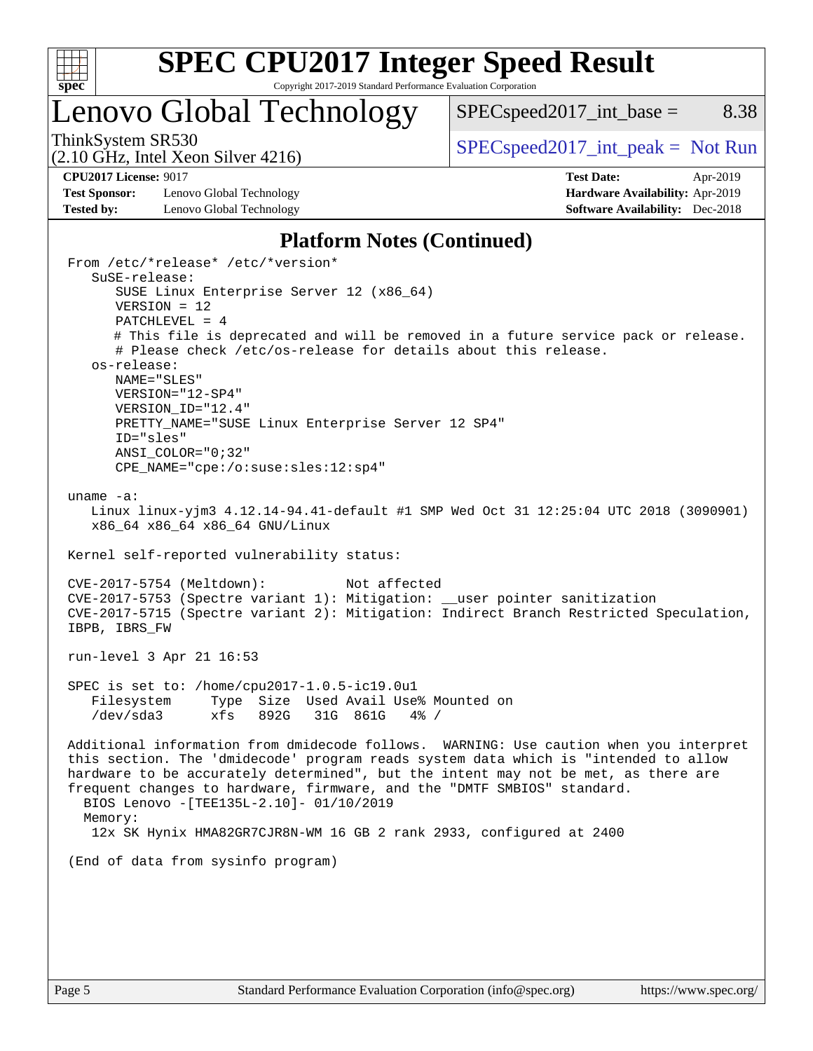

# Lenovo Global Technology

ThinkSystem SR530<br>  $SPEC speed2017\_int\_peak = Not Run$ 

 $SPEC speed2017\_int\_base =$  8.38

(2.10 GHz, Intel Xeon Silver 4216)

**[Test Sponsor:](http://www.spec.org/auto/cpu2017/Docs/result-fields.html#TestSponsor)** Lenovo Global Technology **[Hardware Availability:](http://www.spec.org/auto/cpu2017/Docs/result-fields.html#HardwareAvailability)** Apr-2019 **[Tested by:](http://www.spec.org/auto/cpu2017/Docs/result-fields.html#Testedby)** Lenovo Global Technology **[Software Availability:](http://www.spec.org/auto/cpu2017/Docs/result-fields.html#SoftwareAvailability)** Dec-2018

**[CPU2017 License:](http://www.spec.org/auto/cpu2017/Docs/result-fields.html#CPU2017License)** 9017 **[Test Date:](http://www.spec.org/auto/cpu2017/Docs/result-fields.html#TestDate)** Apr-2019

#### **[Platform Notes \(Continued\)](http://www.spec.org/auto/cpu2017/Docs/result-fields.html#PlatformNotes)**

 From /etc/\*release\* /etc/\*version\* SuSE-release: SUSE Linux Enterprise Server 12 (x86\_64) VERSION = 12 PATCHLEVEL = 4 # This file is deprecated and will be removed in a future service pack or release. # Please check /etc/os-release for details about this release. os-release: NAME="SLES" VERSION="12-SP4" VERSION\_ID="12.4" PRETTY NAME="SUSE Linux Enterprise Server 12 SP4" ID="sles" ANSI\_COLOR="0;32" CPE\_NAME="cpe:/o:suse:sles:12:sp4" uname -a: Linux linux-yjm3 4.12.14-94.41-default #1 SMP Wed Oct 31 12:25:04 UTC 2018 (3090901) x86\_64 x86\_64 x86\_64 GNU/Linux Kernel self-reported vulnerability status: CVE-2017-5754 (Meltdown): Not affected CVE-2017-5753 (Spectre variant 1): Mitigation: \_\_user pointer sanitization CVE-2017-5715 (Spectre variant 2): Mitigation: Indirect Branch Restricted Speculation, IBPB, IBRS\_FW run-level 3 Apr 21 16:53 SPEC is set to: /home/cpu2017-1.0.5-ic19.0u1 Filesystem Type Size Used Avail Use% Mounted on /dev/sda3 xfs 892G 31G 861G 4% / Additional information from dmidecode follows. WARNING: Use caution when you interpret this section. The 'dmidecode' program reads system data which is "intended to allow hardware to be accurately determined", but the intent may not be met, as there are frequent changes to hardware, firmware, and the "DMTF SMBIOS" standard. BIOS Lenovo -[TEE135L-2.10]- 01/10/2019 Memory: 12x SK Hynix HMA82GR7CJR8N-WM 16 GB 2 rank 2933, configured at 2400 (End of data from sysinfo program)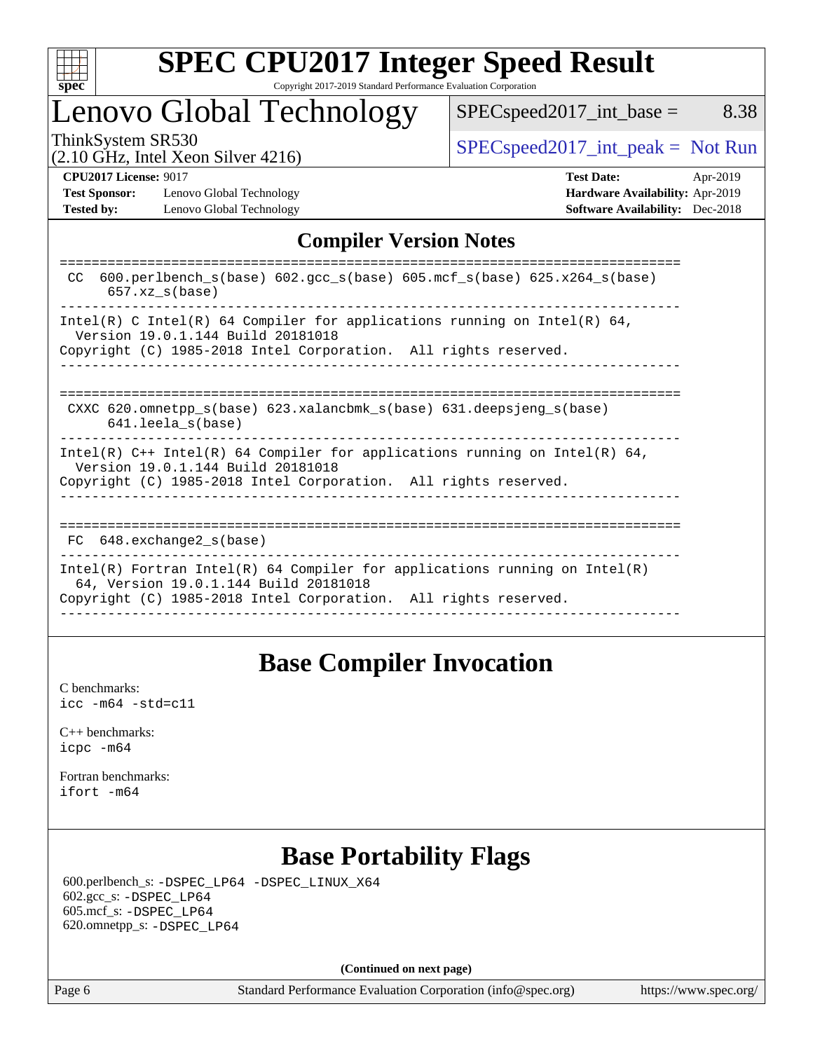

# Lenovo Global Technology

 $SPEC speed2017\_int\_base =$  8.38

(2.10 GHz, Intel Xeon Silver 4216)

ThinkSystem SR530<br>  $\begin{array}{r} \text{SPEC speed2017\_int\_peak = Not Run} \\ \text{SPEC speed2017\_int\_peak = Not Run} \end{array}$ 

**[Test Sponsor:](http://www.spec.org/auto/cpu2017/Docs/result-fields.html#TestSponsor)** Lenovo Global Technology **[Hardware Availability:](http://www.spec.org/auto/cpu2017/Docs/result-fields.html#HardwareAvailability)** Apr-2019 **[Tested by:](http://www.spec.org/auto/cpu2017/Docs/result-fields.html#Testedby)** Lenovo Global Technology **[Software Availability:](http://www.spec.org/auto/cpu2017/Docs/result-fields.html#SoftwareAvailability)** Dec-2018

**[CPU2017 License:](http://www.spec.org/auto/cpu2017/Docs/result-fields.html#CPU2017License)** 9017 **[Test Date:](http://www.spec.org/auto/cpu2017/Docs/result-fields.html#TestDate)** Apr-2019

### **[Compiler Version Notes](http://www.spec.org/auto/cpu2017/Docs/result-fields.html#CompilerVersionNotes)**

| $600. perlbench_s(base) 602. gcc_s(base) 605.mcf_s(base) 625.x264_s(base)$<br>CC.<br>$657.xz$ s(base)               |
|---------------------------------------------------------------------------------------------------------------------|
| Intel(R) C Intel(R) 64 Compiler for applications running on Intel(R) 64,                                            |
| Version 19.0.1.144 Build 20181018                                                                                   |
| Copyright (C) 1985-2018 Intel Corporation. All rights reserved.                                                     |
|                                                                                                                     |
|                                                                                                                     |
| CXXC 620.omnetpp $s(base)$ 623.xalancbmk $s(base)$ 631.deepsjeng $s(base)$                                          |
| 641.leela s(base)                                                                                                   |
| Intel(R) $C++$ Intel(R) 64 Compiler for applications running on Intel(R) 64,<br>Version 19.0.1.144 Build 20181018   |
| Copyright (C) 1985-2018 Intel Corporation. All rights reserved.                                                     |
|                                                                                                                     |
|                                                                                                                     |
| FC 648. exchange2 s(base)                                                                                           |
| Intel(R) Fortran Intel(R) 64 Compiler for applications running on Intel(R)<br>64, Version 19.0.1.144 Build 20181018 |
| Copyright (C) 1985-2018 Intel Corporation. All rights reserved.                                                     |
|                                                                                                                     |

### **[Base Compiler Invocation](http://www.spec.org/auto/cpu2017/Docs/result-fields.html#BaseCompilerInvocation)**

[C benchmarks](http://www.spec.org/auto/cpu2017/Docs/result-fields.html#Cbenchmarks): [icc -m64 -std=c11](http://www.spec.org/cpu2017/results/res2019q2/cpu2017-20190429-13259.flags.html#user_CCbase_intel_icc_64bit_c11_33ee0cdaae7deeeab2a9725423ba97205ce30f63b9926c2519791662299b76a0318f32ddfffdc46587804de3178b4f9328c46fa7c2b0cd779d7a61945c91cd35)

[C++ benchmarks:](http://www.spec.org/auto/cpu2017/Docs/result-fields.html#CXXbenchmarks) [icpc -m64](http://www.spec.org/cpu2017/results/res2019q2/cpu2017-20190429-13259.flags.html#user_CXXbase_intel_icpc_64bit_4ecb2543ae3f1412ef961e0650ca070fec7b7afdcd6ed48761b84423119d1bf6bdf5cad15b44d48e7256388bc77273b966e5eb805aefd121eb22e9299b2ec9d9)

[Fortran benchmarks](http://www.spec.org/auto/cpu2017/Docs/result-fields.html#Fortranbenchmarks): [ifort -m64](http://www.spec.org/cpu2017/results/res2019q2/cpu2017-20190429-13259.flags.html#user_FCbase_intel_ifort_64bit_24f2bb282fbaeffd6157abe4f878425411749daecae9a33200eee2bee2fe76f3b89351d69a8130dd5949958ce389cf37ff59a95e7a40d588e8d3a57e0c3fd751)

# **[Base Portability Flags](http://www.spec.org/auto/cpu2017/Docs/result-fields.html#BasePortabilityFlags)**

 600.perlbench\_s: [-DSPEC\\_LP64](http://www.spec.org/cpu2017/results/res2019q2/cpu2017-20190429-13259.flags.html#b600.perlbench_s_basePORTABILITY_DSPEC_LP64) [-DSPEC\\_LINUX\\_X64](http://www.spec.org/cpu2017/results/res2019q2/cpu2017-20190429-13259.flags.html#b600.perlbench_s_baseCPORTABILITY_DSPEC_LINUX_X64) 602.gcc\_s: [-DSPEC\\_LP64](http://www.spec.org/cpu2017/results/res2019q2/cpu2017-20190429-13259.flags.html#suite_basePORTABILITY602_gcc_s_DSPEC_LP64) 605.mcf\_s: [-DSPEC\\_LP64](http://www.spec.org/cpu2017/results/res2019q2/cpu2017-20190429-13259.flags.html#suite_basePORTABILITY605_mcf_s_DSPEC_LP64) 620.omnetpp\_s: [-DSPEC\\_LP64](http://www.spec.org/cpu2017/results/res2019q2/cpu2017-20190429-13259.flags.html#suite_basePORTABILITY620_omnetpp_s_DSPEC_LP64)

**(Continued on next page)**

Page 6 Standard Performance Evaluation Corporation [\(info@spec.org\)](mailto:info@spec.org) <https://www.spec.org/>